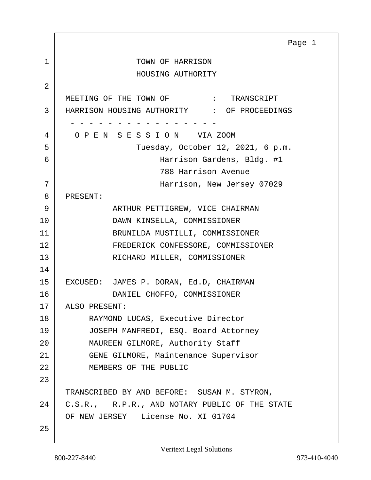<span id="page-0-0"></span>1 TOWN OF HARRISON HOUSING AUTHORITY 2 MEETING OF THE TOWN OF  $\cdot$  TRANSCRIPT 3 HARRISON HOUSING AUTHORITY : OF PROCEEDINGS - - - - - - - - - - - - - - - - 4 O P E N S E S S I O N VIA ZOOM 5 Tuesday, October 12, 2021, 6 p.m. 6 Harrison Gardens, Bldg. #1 788 Harrison Avenue 7 Harrison, New Jersey 07029 8 PRESENT: 9 ARTHUR PETTIGREW, VICE CHAIRMAN 10 DAWN KINSELLA, COMMISSIONER 11 BRUNILDA MUSTILLI, COMMISSIONER 12 FREDERICK CONFESSORE, COMMISSIONER 13 RICHARD MILLER, COMMISSIONER 14 15 EXCUSED: JAMES P. DORAN, Ed.D, CHAIRMAN 16 DANIEL CHOFFO, COMMISSIONER 17 | ALSO PRESENT: 18 | RAYMOND LUCAS, Executive Director 19 JOSEPH MANFREDI, ESQ. Board Attorney 20 MAUREEN GILMORE, Authority Staff 21 GENE GILMORE, Maintenance Supervisor 22 MEMBERS OF THE PUBLIC 23 TRANSCRIBED BY AND BEFORE: SUSAN M. STYRON, 24 | C.S.R., R.P.R., AND NOTARY PUBLIC OF THE STATE OF NEW JERSEY License No. XI 01704 25 Page 1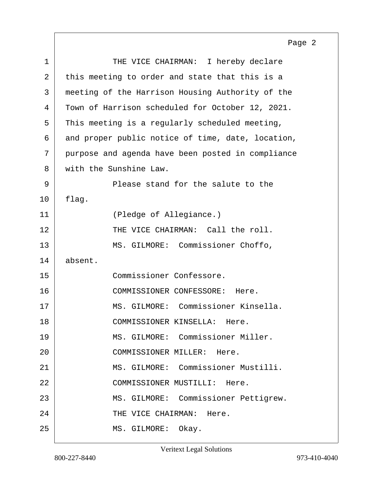<span id="page-1-0"></span>1 THE VICE CHAIRMAN: I hereby declare 2 this meeting to order and state that this is a 3 meeting of the Harrison Housing Authority of the 4 Town of Harrison scheduled for October 12, 2021.  $5$  This meeting is a regularly scheduled meeting, 6 and proper public notice of time, date, location, 7 purpose and agenda have been posted in compliance 8 with the Sunshine Law. 9 Please stand for the salute to the  $10$  | flag. 11 (Pledge of Allegiance.) 12 THE VICE CHAIRMAN: Call the roll. 13 MS. GILMORE: Commissioner Choffo, 14 absent. 15 Commissioner Confessore. 16 COMMISSIONER CONFESSORE: Here. 17 MS. GILMORE: Commissioner Kinsella. 18 COMMISSIONER KINSELLA: Here. 19 MS. GILMORE: Commissioner Miller. 20 COMMISSIONER MILLER: Here. 21 MS. GILMORE: Commissioner Mustilli. 22 COMMISSIONER MUSTILLI: Here. 23 | MS. GILMORE: Commissioner Pettigrew. 24 THE VICE CHAIRMAN: Here. 25 MS. GILMORE: Okay.

Page 2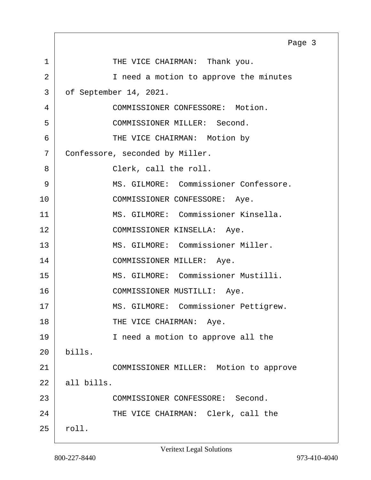<span id="page-2-0"></span>1 THE VICE CHAIRMAN: Thank you. 2 | Theed a motion to approve the minutes 3 of September 14, 2021. 4 COMMISSIONER CONFESSORE: Motion. 5 COMMISSIONER MILLER: Second. 6 | THE VICE CHAIRMAN: Motion by 7 Confessore, seconded by Miller. 8 Clerk, call the roll. 9 | MS. GILMORE: Commissioner Confessore. 10 | COMMISSIONER CONFESSORE: Aye. 11 MS. GILMORE: Commissioner Kinsella. 12 COMMISSIONER KINSELLA: Aye. 13 MS. GILMORE: Commissioner Miller. 14 COMMISSIONER MILLER: Aye. 15 MS. GILMORE: Commissioner Mustilli. 16 COMMISSIONER MUSTILLI: Aye. 17 | MS. GILMORE: Commissioner Pettigrew. 18 THE VICE CHAIRMAN: Aye. 19 I need a motion to approve all the 20 bills. 21 COMMISSIONER MILLER: Motion to approve  $22$  all bills. 23 COMMISSIONER CONFESSORE: Second. 24 THE VICE CHAIRMAN: Clerk, call the  $25$  roll. Page 3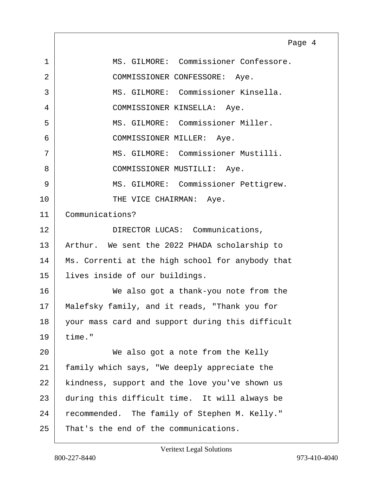<span id="page-3-0"></span>1 MS. GILMORE: Commissioner Confessore. 2 COMMISSIONER CONFESSORE: Aye. 3 MS. GILMORE: Commissioner Kinsella. 4 COMMISSIONER KINSELLA: Aye. 5 MS. GILMORE: Commissioner Miller. 6 COMMISSIONER MILLER: Aye. 7 MS. GILMORE: Commissioner Mustilli. 8 COMMISSIONER MUSTILLI: Aye. 9 | MS. GILMORE: Commissioner Pettigrew. 10 THE VICE CHAIRMAN: Aye. 11 Communications? 12 DIRECTOR LUCAS: Communications, 13 | Arthur. We sent the 2022 PHADA scholarship to 14 Ms. Correnti at the high school for anybody that 15 lives inside of our buildings. 16 We also got a thank-you note from the 17 | Malefsky family, and it reads, "Thank you for 18 your mass card and support during this difficult  $19$  time." 20 We also got a note from the Kelly 21 family which says, "We deeply appreciate the 22 | kindness, support and the love you've shown us 23 during this difficult time. It will always be 24 recommended. The family of Stephen M. Kelly." 25 That's the end of the communications. Page 4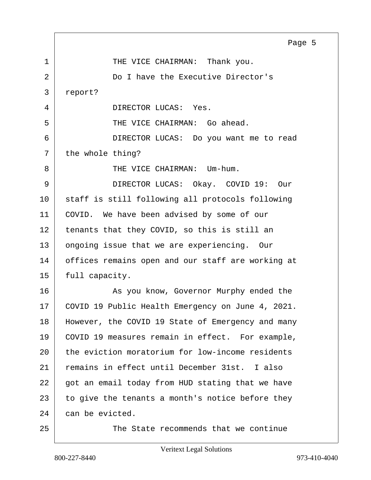<span id="page-4-0"></span>1 THE VICE CHAIRMAN: Thank you. 2 Do I have the Executive Director's 3 report? 4 DIRECTOR LUCAS: Yes. 5 SUPERFULLER CHAIRMAN: Go ahead. 6 DIRECTOR LUCAS: Do you want me to read  $7$  the whole thing? 8 | THE VICE CHAIRMAN: Um-hum. 9 DIRECTOR LUCAS: Okay. COVID 19: Our 10 staff is still following all protocols following 11 | COVID. We have been advised by some of our 12 tenants that they COVID, so this is still an 13 ongoing issue that we are experiencing. Our 14 offices remains open and our staff are working at  $15$  full capacity. 16 As you know, Governor Murphy ended the 17 | COVID 19 Public Health Emergency on June 4, 2021. 18 | However, the COVID 19 State of Emergency and many 19 COVID 19 measures remain in effect. For example, 20 the eviction moratorium for low-income residents 21 remains in effect until December 31st. I also  $22$  got an email today from HUD stating that we have  $23$  to give the tenants a month's notice before they  $24$  can be evicted. 25 The State recommends that we continue Page 5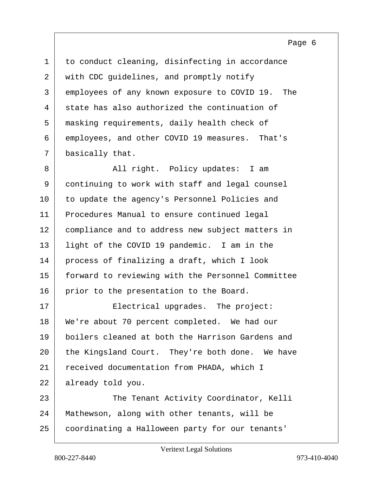Page 6

<span id="page-5-0"></span>

| $\mathbf 1$ | to conduct cleaning, disinfecting in accordance   |
|-------------|---------------------------------------------------|
| 2           | with CDC guidelines, and promptly notify          |
| 3           | employees of any known exposure to COVID 19. The  |
| 4           | state has also authorized the continuation of     |
| 5           | masking requirements, daily health check of       |
| 6           | employees, and other COVID 19 measures. That's    |
| 7           | basically that.                                   |
| 8           | All right. Policy updates: I am                   |
| 9           | continuing to work with staff and legal counsel   |
| 10          | to update the agency's Personnel Policies and     |
| 11          | Procedures Manual to ensure continued legal       |
| 12          | compliance and to address new subject matters in  |
| 13          | light of the COVID 19 pandemic. I am in the       |
| 14          | process of finalizing a draft, which I look       |
| 15          | forward to reviewing with the Personnel Committee |
| 16          | prior to the presentation to the Board.           |
| 17          | Electrical upgrades. The project:                 |
| 18          | We're about 70 percent completed. We had our      |
| 19          | boilers cleaned at both the Harrison Gardens and  |
| 20          | the Kingsland Court. They're both done. We have   |
| 21          | received documentation from PHADA, which I        |
| 22          | already told you.                                 |
| 23          | The Tenant Activity Coordinator, Kelli            |
| 24          | Mathewson, along with other tenants, will be      |
| 25          | coordinating a Halloween party for our tenants'   |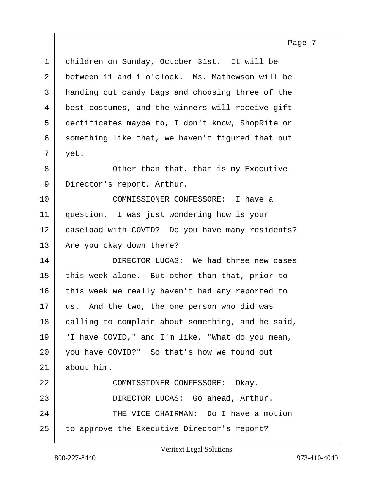Page 7

<span id="page-6-0"></span>1 children on Sunday, October 31st. It will be 2 between 11 and 1 o'clock. Ms. Mathewson will be 3 handing out candy bags and choosing three of the 4 best costumes, and the winners will receive gift 5 certificates maybe to, I don't know, ShopRite or 6 something like that, we haven't figured that out  $7 \mid \text{yet.}$ 8 Cther than that, that is my Executive 9 Director's report, Arthur. 10 COMMISSIONER CONFESSORE: I have a 11 question. I was just wondering how is your 12 caseload with COVID? Do you have many residents? 13 Are you okay down there? 14 DIRECTOR LUCAS: We had three new cases 15 this week alone. But other than that, prior to 16 this week we really haven't had any reported to 17 | us. And the two, the one person who did was 18 calling to complain about something, and he said, 19 | "I have COVID," and I'm like, "What do you mean, 20 you have COVID?" So that's how we found out  $21$  about him. 22 COMMISSIONER CONFESSORE: Okay. 23 DIRECTOR LUCAS: Go ahead, Arthur. 24 THE VICE CHAIRMAN: Do I have a motion 25 to approve the Executive Director's report?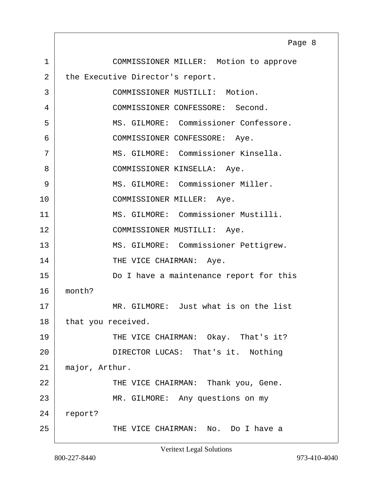<span id="page-7-0"></span>1 COMMISSIONER MILLER: Motion to approve 2 the Executive Director's report. 3 COMMISSIONER MUSTILLI: Motion. 4 COMMISSIONER CONFESSORE: Second. 5 MS. GILMORE: Commissioner Confessore. 6 COMMISSIONER CONFESSORE: Aye. 7 MS. GILMORE: Commissioner Kinsella. 8 | COMMISSIONER KINSELLA: Aye. 9 MS. GILMORE: Commissioner Miller. 10 COMMISSIONER MILLER: Aye. 11 MS. GILMORE: Commissioner Mustilli. 12 COMMISSIONER MUSTILLI: Aye. 13 | MS. GILMORE: Commissioner Pettigrew. 14 THE VICE CHAIRMAN: Aye. 15 Do I have a maintenance report for this 16 month? 17 MR. GILMORE: Just what is on the list 18 that you received. 19 THE VICE CHAIRMAN: Okay. That's it? 20 | DIRECTOR LUCAS: That's it. Nothing 21 major, Arthur. 22 THE VICE CHAIRMAN: Thank you, Gene. 23 MR. GILMORE: Any questions on my 24 report? 25 THE VICE CHAIRMAN: No. Do I have a Page 8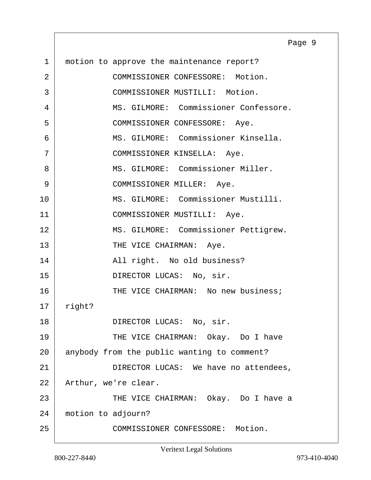<span id="page-8-0"></span>1 | motion to approve the maintenance report? 2 COMMISSIONER CONFESSORE: Motion. 3 COMMISSIONER MUSTILLI: Motion. 4 MS. GILMORE: Commissioner Confessore. 5 COMMISSIONER CONFESSORE: Aye. 6 MS. GILMORE: Commissioner Kinsella. 7 | COMMISSIONER KINSELLA: Aye. 8 MS. GILMORE: Commissioner Miller. 9 | COMMISSIONER MILLER: Aye. 10 MS. GILMORE: Commissioner Mustilli. 11 | COMMISSIONER MUSTILLI: Aye. 12 | MS. GILMORE: Commissioner Pettigrew. 13 THE VICE CHAIRMAN: Aye. 14 | Rail right. No old business? 15 DIRECTOR LUCAS: No, sir. 16 THE VICE CHAIRMAN: No new business; 17 right? 18 DIRECTOR LUCAS: No, sir. 19 THE VICE CHAIRMAN: Okay. Do I have 20 anybody from the public wanting to comment? 21 DIRECTOR LUCAS: We have no attendees, 22 | Arthur, we're clear. 23 THE VICE CHAIRMAN: Okay. Do I have a 24 motion to adjourn? 25 COMMISSIONER CONFESSORE: Motion. Page 9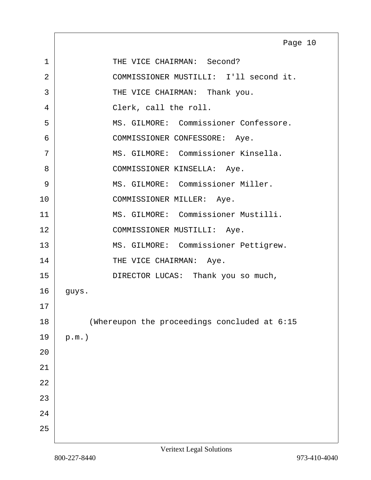<span id="page-9-0"></span>

|    | Page 10                                      |
|----|----------------------------------------------|
| 1  | THE VICE CHAIRMAN: Second?                   |
| 2  | COMMISSIONER MUSTILLI: I'll second it.       |
| 3  | THE VICE CHAIRMAN: Thank you.                |
| 4  | Clerk, call the roll.                        |
| 5  | MS. GILMORE: Commissioner Confessore.        |
| 6  | COMMISSIONER CONFESSORE: Aye.                |
| 7  | MS. GILMORE: Commissioner Kinsella.          |
| 8  | COMMISSIONER KINSELLA: Aye.                  |
| 9  | MS. GILMORE: Commissioner Miller.            |
| 10 | COMMISSIONER MILLER: Aye.                    |
| 11 | MS. GILMORE: Commissioner Mustilli.          |
| 12 | COMMISSIONER MUSTILLI: Aye.                  |
| 13 | MS. GILMORE: Commissioner Pettigrew.         |
| 14 | THE VICE CHAIRMAN: Aye.                      |
| 15 | DIRECTOR LUCAS: Thank you so much,           |
| 16 | guys.                                        |
| 17 |                                              |
| 18 | (Whereupon the proceedings concluded at 6:15 |
| 19 | $p.m.$ )                                     |
| 20 |                                              |
| 21 |                                              |
| 22 |                                              |
| 23 |                                              |
| 24 |                                              |
| 25 |                                              |

Г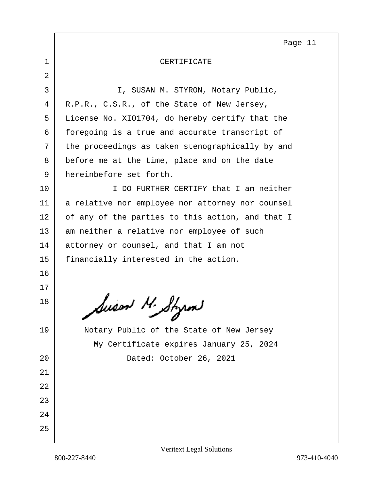Page 11

## <span id="page-10-0"></span>1 CERTIFICATE

2 3 I, SUSAN M. STYRON, Notary Public, 4 R.P.R., C.S.R., of the State of New Jersey, 5 License No. XIO1704, do hereby certify that the 6 foregoing is a true and accurate transcript of 7 the proceedings as taken stenographically by and 8 before me at the time, place and on the date 9 hereinbefore set forth. 10 I DO FURTHER CERTIFY that I am neither 11 | a relative nor employee nor attorney nor counsel 12 of any of the parties to this action, and that I 13 am neither a relative nor employee of such 14 attorney or counsel, and that I am not 15 | financially interested in the action. 16 17 18 Susan M. Styrm 19 | Notary Public of the State of New Jersey My Certificate expires January 25, 2024 20 Dated: October 26, 2021 21 22 23 24 25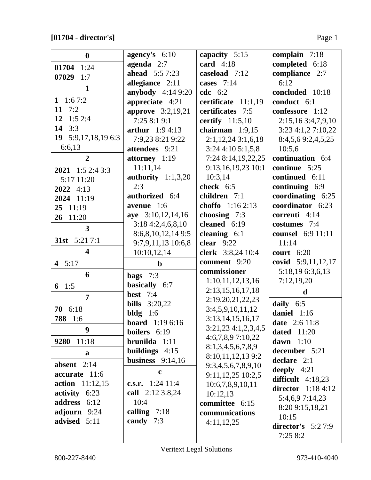| $\boldsymbol{0}$        | agency's $6:10$          | capacity 5:15        | complain 7:18        |
|-------------------------|--------------------------|----------------------|----------------------|
| 1:24<br>01704           | agenda $2:7$             | card $4:18$          | completed 6:18       |
| 07029<br>1:7            | <b>ahead</b> 5:5 7:23    | caseload 7:12        | compliance 2:7       |
| $\mathbf{1}$            | allegiance 2:11          | cases 7:14           | 6:12                 |
|                         | <b>anybody</b> 4:14 9:20 | <b>cdc</b> 6:2       | concluded 10:18      |
| 1 $1:67:2$              | appreciate 4:21          | certificate 11:1,19  | conduct 6:1          |
| 11 $7:2$                | <b>approve</b> 3:2,19,21 | certificates 7:5     | confessore 1:12      |
| 12<br>1:52:4            | 7:25 8:1 9:1             | certify $11:5,10$    | 2:15,16 3:4,7,9,10   |
| 14<br>3:3               | <b>arthur</b> $1:94:13$  | chairman $1:9,15$    | 3:23 4:1,2 7:10,22   |
| 19 $5:9,17,18,196:3$    | 7:9,23 8:21 9:22         | $2:1,12,24$ 3:1,6,18 | 8:4,5,6 9:2,4,5,25   |
| 6:6,13                  | attendees 9:21           | $3:24$ 4:10 5:1,5,8  | 10:5,6               |
| $\overline{2}$          | attorney 1:19            | 7:24 8:14,19,22,25   | continuation 6:4     |
| 2021 1:5 2:4 3:3        | 11:11,14                 | 9:13,16,19,23 10:1   | continue 5:25        |
| 5:17 11:20              | authority $1:1,3,20$     | 10:3,14              | continued 6:11       |
| $2022$ 4:13             | 2:3                      | check 6:5            | continuing 6:9       |
| 2024 11:19              | authorized 6:4           | children 7:1         | coordinating 6:25    |
| 25 11:19                | avenue 1:6               | choffo 1:16 2:13     | coordinator 6:23     |
| 26 11:20                | aye 3:10,12,14,16        | choosing 7:3         | correnti 4:14        |
| $\overline{\mathbf{3}}$ | 3:184:2,4,6,8,10         | cleaned 6:19         | costumes 7:4         |
|                         | 8:6,8,10,12,149:5        | cleaning $6:1$       | counsel 6:9 11:11    |
| 31st 5:21 7:1           | 9:7,9,11,13 10:6,8       | clear $9:22$         | 11:14                |
| $\overline{\mathbf{4}}$ | 10:10,12,14              | clerk 3:8,24 10:4    | court $6:20$         |
| 4 $5:17$                | $\mathbf b$              | comment 9:20         | covid 5:9,11,12,17   |
| 6                       | bags $7:3$               | commissioner         | 5:18,19 6:3,6,13     |
|                         | basically 6:7            | 1:10,11,12,13,16     | 7:12,19,20           |
| 6 1:5                   | <b>best</b> 7:4          | 2:13, 15, 16, 17, 18 | $\mathbf d$          |
| $\overline{7}$          | <b>bills</b><br>3:20,22  | 2:19,20,21,22,23     | daily $6:5$          |
| 70 6:18                 | bldg<br>1:6              | 3:4,5,9,10,11,12     | daniel 1:16          |
| 788 1:6                 | <b>board</b> 1:19 6:16   | 3:13, 14, 15, 16, 17 | <b>date</b> 2:6 11:8 |
| 9                       | boilers 6:19             | 3:21,234:1,2,3,4,5   | <b>dated</b> 11:20   |
| 11:18<br>9280           | $brunilda 1:11$          | 4:6,7,8,97:10,22     | dawn $1:10$          |
|                         | buildings $4:15$         | 8:1,3,4,5,6,7,8,9    | december 5:21        |
| a                       | business $9:14,16$       | 8:10,11,12,139:2     | declare 2:1          |
| absent $2:14$           |                          | 9:3,4,5,6,7,8,9,10   | deeply $4:21$        |
| accurate 11:6           | $\mathbf c$              | 9:11,12,25 10:2,5    | difficult $4:18,23$  |
| <b>action</b> 11:12,15  | c.s.r. $1:24$ 11:4       | 10:6,7,8,9,10,11     | director $1:184:12$  |
| activity 6:23           | call 2:12 3:8,24         | 10:12,13             | 5:4,6,9 7:14,23      |
| address 6:12            | 10:4                     | committee 6:15       | 8:20 9:15,18,21      |
| adjourn 9:24            | calling $7:18$           | communications       | 10:15                |
| advised 5:11            | candy 7:3                | 4:11,12,25           | director's $5:27:9$  |
|                         |                          |                      | 7:258:2              |
|                         |                          |                      |                      |

 $\lfloor$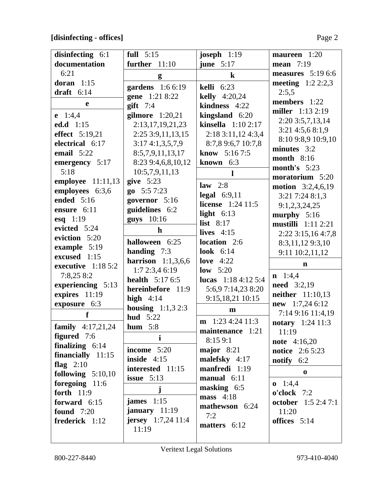## **[disinfecting - offices]** Page 2

| disinfecting 6:1           | full $5:15$                 | joseph $1:19$               | maureen 1:20               |
|----------------------------|-----------------------------|-----------------------------|----------------------------|
| documentation              | further $11:10$             | june $5:17$                 | <b>mean</b> 7:19           |
| 6:21                       | g                           | $\bf k$                     | measures $5:196:6$         |
| doran $1:15$               | gardens 1:6 6:19            | <b>kelli</b> 6:23           | meeting $1:22:2,3$         |
| draft $6:14$               | gene 1:21 8:22              | <b>kelly</b> $4:20,24$      | 2:5,5                      |
| e                          | $g$ ift 7:4                 | kindness 4:22               | members 1:22               |
| $e$ 1:4,4                  | gilmore 1:20,21             | kingsland $6:20$            | <b>miller</b> 1:13 2:19    |
| ed.d 1:15                  | 2:13, 17, 19, 21, 23        | kinsella $1:102:17$         | $2:20$ 3:5,7,13,14         |
| effect 5:19,21             | 2:25 3:9,11,13,15           | 2:183:11,124:3,4            | $3:21$ 4:5,6 8:1,9         |
| electrical 6:17            | 3:174:1,3,5,7,9             | 8:7,8 9:6,7 10:7,8          | 8:10 9:8,9 10:9,10         |
| email $5:22$               | 8:5,7,9,11,13,17            | <b>know</b> $5:167:5$       | minutes 3:2                |
| emergency 5:17             | 8:23 9:4,6,8,10,12          | known 6:3                   | <b>month</b> 8:16          |
| 5:18                       | 10:5,7,9,11,13              |                             | month's $5:23$             |
| employee $11:11,13$        | give $5:23$                 | $\mathbf{l}$                | moratorium 5:20            |
| employees 6:3,6            | $go$ 5:57:23                | law $2:8$                   | motion 3:2,4,6,19          |
| ended 5:16                 | governor 5:16               | legal $6:9,11$              | 3:21 7:24 8:1,3            |
| ensure 6:11                | guidelines 6:2              | <b>license</b> 1:24 11:5    | 9:1,2,3,24,25              |
| esq $1:19$                 | guys 10:16                  | light $6:13$                | murphy $5:16$              |
| evicted 5:24               | $\mathbf h$                 | list $8:17$                 | <b>mustilli</b> 1:11 2:21  |
| eviction 5:20              |                             | lives $4:15$                | 2:22 3:15,16 4:7,8         |
| example 5:19               | halloween 6:25              | location 2:6                | 8:3,11,129:3,10            |
| excused 1:15               | handing 7:3                 | look $6:14$                 | 9:11 10:2,11,12            |
| executive $1:185:2$        | harrison $1:1,3,6,6$        | love $4:22$                 | $\mathbf n$                |
| 7:8,258:2                  | 1:72:3,46:19                | low $5:20$                  | $n \quad 1:4,4$            |
| experiencing 5:13          | <b>health</b> $5:176:5$     | lucas $1:184:125:4$         | <b>need</b> 3:2,19         |
| expires 11:19              | hereinbefore 11:9           | 5:6,9 7:14,23 8:20          | <b>neither</b> 11:10,13    |
| exposure 6:3               | high $4:14$                 | 9:15,18,21 10:15            | $new$ 1:7,24 6:12          |
| f                          | <b>housing</b> $1:1,3,2:3$  | $\mathbf{m}$                | 7:14 9:16 11:4,19          |
|                            | <b>hud</b> 5:22             | $\mathbf{m}$ 1:23 4:24 11:3 | <b>notary</b> 1:24 11:3    |
| <b>family</b> $4:17,21,24$ | hum $5:8$                   | maintenance 1:21            | 11:19                      |
| <b>figured</b> 7:6         | $\mathbf{i}$                | 8:159:1                     | <b>note</b> 4:16,20        |
| finalizing $6:14$          | income 5:20                 | major $8:21$                | <b>notice</b> 2:6 5:23     |
| financially $11:15$        | inside $4:15$               | malefsky 4:17               | notify $6:2$               |
| flag $2:10$                | interested 11:15            | manfredi 1:19               | $\bf{0}$                   |
| following $5:10,10$        | issue $5:13$                | manual 6:11                 |                            |
| foregoing 11:6             | $\mathbf{j}$                | masking 6:5                 | $0 \quad 1:4,4$            |
| <b>forth</b> 11:9          | james $1:15$                | mass $4:18$                 | o'clock 7:2                |
| forward 6:15               | january $11:19$             | mathewson 6:24              | <b>october</b> 1:5 2:4 7:1 |
| <b>found</b> 7:20          | <b>jersey</b> $1:7,24$ 11:4 | 7:2                         | 11:20                      |
| frederick 1:12             | 11:19                       | matters 6:12                | offices 5:14               |
|                            |                             |                             |                            |